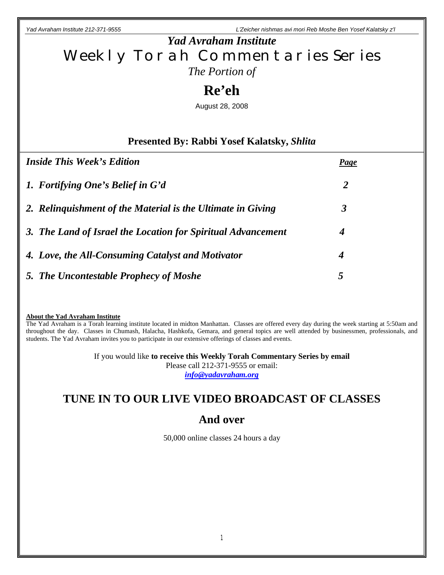## *Yad Avraham Institute* Weekly Torah Commentaries Series *The Portion of*

# **Re'eh**

August 28, 2008

### **Presented By: Rabbi Yosef Kalatsky,** *Shlita*

| <b>Inside This Week's Edition</b>                            | <b>Page</b>    |
|--------------------------------------------------------------|----------------|
| 1. Fortifying One's Belief in G'd                            | $\overline{2}$ |
| 2. Relinguishment of the Material is the Ultimate in Giving  | 3              |
| 3. The Land of Israel the Location for Spiritual Advancement | 4              |
| 4. Love, the All-Consuming Catalyst and Motivator            | 4              |
| 5. The Uncontestable Prophecy of Moshe                       | 5              |

#### **About the Yad Avraham Institute**

The Yad Avraham is a Torah learning institute located in midton Manhattan. Classes are offered every day during the week starting at 5:50am and throughout the day. Classes in Chumash, Halacha, Hashkofa, Gemara, and general topics are well attended by businessmen, professionals, and students. The Yad Avraham invites you to participate in our extensive offerings of classes and events.

> If you would like **to receive this Weekly Torah Commentary Series by email** Please call 212-371-9555 or email: *info@yadavraham.org*

## **TUNE IN TO OUR LIVE VIDEO BROADCAST OF CLASSES**

## **And over**

50,000 online classes 24 hours a day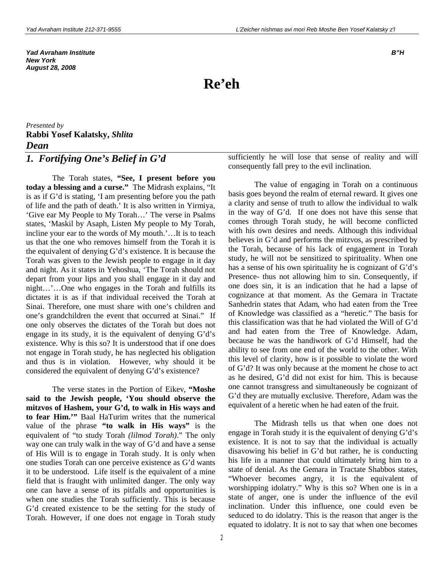*Yad Avraham Institute B"H New York August 28, 2008*

# **Re'eh**

*Presented by* **Rabbi Yosef Kalatsky,** *Shlita Dean* 

### *1. Fortifying One's Belief in G'd*

The Torah states, **"See, I present before you today a blessing and a curse."** The Midrash explains, "It is as if G'd is stating, 'I am presenting before you the path of life and the path of death.' It is also written in Yirmiya, 'Give ear My People to My Torah…' The verse in Psalms states, 'Maskil by Asaph, Listen My people to My Torah, incline your ear to the words of My mouth.'…It is to teach us that the one who removes himself from the Torah it is the equivalent of denying G'd's existence. It is because the Torah was given to the Jewish people to engage in it day and night. As it states in Yehoshua, 'The Torah should not depart from your lips and you shall engage in it day and night…'…One who engages in the Torah and fulfills its dictates it is as if that individual received the Torah at Sinai. Therefore, one must share with one's children and one's grandchildren the event that occurred at Sinai." If one only observes the dictates of the Torah but does not engage in its study, it is the equivalent of denying G'd's existence. Why is this so? It is understood that if one does not engage in Torah study, he has neglected his obligation and thus is in violation. However, why should it be considered the equivalent of denying G'd's existence?

The verse states in the Portion of Eikev, **"Moshe said to the Jewish people, 'You should observe the mitzvos of Hashem, your G'd, to walk in His ways and to fear Him.'"** Baal HaTurim writes that the numerical value of the phrase **"to walk in His ways"** is the equivalent of "to study Torah *(lilmod Torah)*." The only way one can truly walk in the way of G'd and have a sense of His Will is to engage in Torah study. It is only when one studies Torah can one perceive existence as G'd wants it to be understood. Life itself is the equivalent of a mine field that is fraught with unlimited danger. The only way one can have a sense of its pitfalls and opportunities is when one studies the Torah sufficiently. This is because G'd created existence to be the setting for the study of Torah. However, if one does not engage in Torah study

sufficiently he will lose that sense of reality and will consequently fall prey to the evil inclination.

The value of engaging in Torah on a continuous basis goes beyond the realm of eternal reward. It gives one a clarity and sense of truth to allow the individual to walk in the way of G'd. If one does not have this sense that comes through Torah study, he will become conflicted with his own desires and needs. Although this individual believes in G'd and performs the mitzvos, as prescribed by the Torah, because of his lack of engagement in Torah study, he will not be sensitized to spirituality. When one has a sense of his own spirituality he is cognizant of G'd's Presence- thus not allowing him to sin. Consequently, if one does sin, it is an indication that he had a lapse of cognizance at that moment. As the Gemara in Tractate Sanhedrin states that Adam, who had eaten from the Tree of Knowledge was classified as a "heretic." The basis for this classification was that he had violated the Will of G'd and had eaten from the Tree of Knowledge. Adam, because he was the handiwork of G'd Himself, had the ability to see from one end of the world to the other. With this level of clarity, how is it possible to violate the word of G'd? It was only because at the moment he chose to act as he desired, G'd did not exist for him. This is because one cannot transgress and simultaneously be cognizant of G'd they are mutually exclusive. Therefore, Adam was the equivalent of a heretic when he had eaten of the fruit.

The Midrash tells us that when one does not engage in Torah study it is the equivalent of denying G'd's existence. It is not to say that the individual is actually disavowing his belief in G'd but rather, he is conducting his life in a manner that could ultimately bring him to a state of denial. As the Gemara in Tractate Shabbos states, "Whoever becomes angry, it is the equivalent of worshipping idolatry." Why is this so? When one is in a state of anger, one is under the influence of the evil inclination. Under this influence, one could even be seduced to do idolatry. This is the reason that anger is the equated to idolatry. It is not to say that when one becomes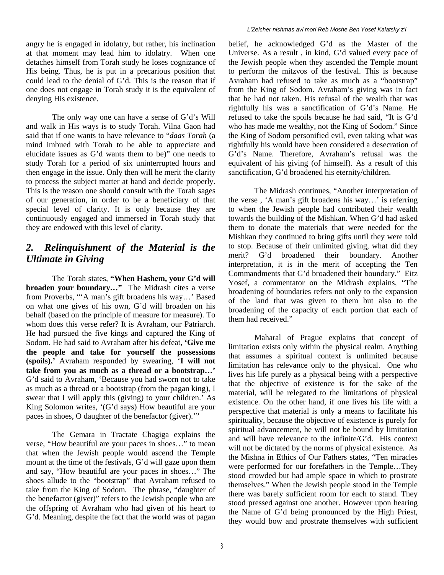angry he is engaged in idolatry, but rather, his inclination at that moment may lead him to idolatry. When one detaches himself from Torah study he loses cognizance of His being. Thus, he is put in a precarious position that could lead to the denial of G'd. This is the reason that if one does not engage in Torah study it is the equivalent of denying His existence.

The only way one can have a sense of G'd's Will and walk in His ways is to study Torah. Vilna Gaon had said that if one wants to have relevance to "*daas Torah* (a mind imbued with Torah to be able to appreciate and elucidate issues as G'd wants them to be)" one needs to study Torah for a period of six uninterrupted hours and then engage in the issue. Only then will he merit the clarity to process the subject matter at hand and decide properly. This is the reason one should consult with the Torah sages of our generation, in order to be a beneficiary of that special level of clarity. It is only because they are continuously engaged and immersed in Torah study that they are endowed with this level of clarity.

### *2. Relinquishment of the Material is the Ultimate in Giving*

The Torah states, **"When Hashem, your G'd will broaden your boundary…"** The Midrash cites a verse from Proverbs, "'A man's gift broadens his way…' Based on what one gives of his own, G'd will broaden on his behalf (based on the principle of measure for measure). To whom does this verse refer? It is Avraham, our Patriarch. He had pursued the five kings and captured the King of Sodom. He had said to Avraham after his defeat, **'Give me the people and take for yourself the possessions (spoils).'** Avraham responded by swearing, '**I will not take from you as much as a thread or a bootstrap…'**  G'd said to Avraham, 'Because you had sworn not to take as much as a thread or a bootstrap (from the pagan king), I swear that I will apply this (giving) to your children.' As King Solomon writes, '(G'd says) How beautiful are your paces in shoes, O daughter of the benefactor (giver).'"

The Gemara in Tractate Chagiga explains the verse, "How beautiful are your paces in shoes…" to mean that when the Jewish people would ascend the Temple mount at the time of the festivals, G'd will gaze upon them and say, "How beautiful are your paces in shoes…" The shoes allude to the "bootstrap" that Avraham refused to take from the King of Sodom. The phrase, "daughter of the benefactor (giver)" refers to the Jewish people who are the offspring of Avraham who had given of his heart to G'd. Meaning, despite the fact that the world was of pagan

belief, he acknowledged G'd as the Master of the Universe. As a result , in kind, G'd valued every pace of the Jewish people when they ascended the Temple mount to perform the mitzvos of the festival. This is because Avraham had refused to take as much as a "bootstrap" from the King of Sodom. Avraham's giving was in fact that he had not taken. His refusal of the wealth that was rightfully his was a sanctification of G'd's Name. He refused to take the spoils because he had said, "It is G'd who has made me wealthy, not the King of Sodom." Since the King of Sodom personified evil, even taking what was rightfully his would have been considered a desecration of G'd's Name. Therefore, Avraham's refusal was the equivalent of his giving (of himself). As a result of this sanctification, G'd broadened his eternity/children.

The Midrash continues, "Another interpretation of the verse , 'A man's gift broadens his way…' is referring to when the Jewish people had contributed their wealth towards the building of the Mishkan. When G'd had asked them to donate the materials that were needed for the Mishkan they continued to bring gifts until they were told to stop. Because of their unlimited giving, what did they merit? G'd broadened their boundary. Another interpretation, it is in the merit of accepting the Ten Commandments that G'd broadened their boundary." Eitz Yosef, a commentator on the Midrash explains, "The broadening of boundaries refers not only to the expansion of the land that was given to them but also to the broadening of the capacity of each portion that each of them had received."

Maharal of Prague explains that concept of limitation exists only within the physical realm. Anything that assumes a spiritual context is unlimited because limitation has relevance only to the physical. One who lives his life purely as a physical being with a perspective that the objective of existence is for the sake of the material, will be relegated to the limitations of physical existence. On the other hand, if one lives his life with a perspective that material is only a means to facilitate his spirituality, because the objective of existence is purely for spiritual advancement, he will not be bound by limitation and will have relevance to the infinite/G'd. His context will not be dictated by the norms of physical existence. As the Mishna in Ethics of Our Fathers states, "Ten miracles were performed for our forefathers in the Temple…They stood crowded but had ample space in which to prostrate themselves." When the Jewish people stood in the Temple there was barely sufficient room for each to stand. They stood pressed against one another. However upon hearing the Name of G'd being pronounced by the High Priest, they would bow and prostrate themselves with sufficient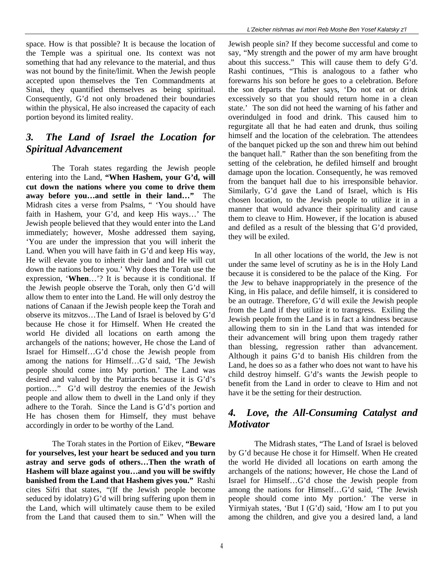space. How is that possible? It is because the location of the Temple was a spiritual one. Its context was not something that had any relevance to the material, and thus was not bound by the finite/limit. When the Jewish people accepted upon themselves the Ten Commandments at Sinai, they quantified themselves as being spiritual. Consequently, G'd not only broadened their boundaries within the physical, He also increased the capacity of each portion beyond its limited reality.

### *3. The Land of Israel the Location for Spiritual Advancement*

The Torah states regarding the Jewish people entering into the Land, **"When Hashem, your G'd, will cut down the nations where you come to drive them away before you…and settle in their land…"** The Midrash cites a verse from Psalms, " 'You should have faith in Hashem, your G'd, and keep His ways…' The Jewish people believed that they would enter into the Land immediately; however, Moshe addressed them saying, 'You are under the impression that you will inherit the Land. When you will have faith in G'd and keep His way, He will elevate you to inherit their land and He will cut down the nations before you.' Why does the Torah use the expression, '**When**…'? It is because it is conditional. If the Jewish people observe the Torah, only then G'd will allow them to enter into the Land. He will only destroy the nations of Canaan if the Jewish people keep the Torah and observe its mitzvos…The Land of Israel is beloved by G'd because He chose it for Himself. When He created the world He divided all locations on earth among the archangels of the nations; however, He chose the Land of Israel for Himself…G'd chose the Jewish people from among the nations for Himself…G'd said, 'The Jewish people should come into My portion.' The Land was desired and valued by the Patriarchs because it is G'd's portion…" G'd will destroy the enemies of the Jewish people and allow them to dwell in the Land only if they adhere to the Torah. Since the Land is G'd's portion and He has chosen them for Himself, they must behave accordingly in order to be worthy of the Land.

The Torah states in the Portion of Eikev, **"Beware for yourselves, lest your heart be seduced and you turn astray and serve gods of others…Then the wrath of Hashem will blaze against you…and you will be swiftly banished from the Land that Hashem gives you."** Rashi cites Sifri that states, "(If the Jewish people become seduced by idolatry) G'd will bring suffering upon them in the Land, which will ultimately cause them to be exiled from the Land that caused them to sin." When will the

Jewish people sin? If they become successful and come to say, "My strength and the power of my arm have brought about this success." This will cause them to defy G'd. Rashi continues, "This is analogous to a father who forewarns his son before he goes to a celebration. Before the son departs the father says, 'Do not eat or drink excessively so that you should return home in a clean state.' The son did not heed the warning of his father and overindulged in food and drink. This caused him to regurgitate all that he had eaten and drunk, thus soiling himself and the location of the celebration. The attendees of the banquet picked up the son and threw him out behind the banquet hall." Rather than the son benefiting from the setting of the celebration, he defiled himself and brought damage upon the location. Consequently, he was removed from the banquet hall due to his irresponsible behavior. Similarly, G'd gave the Land of Israel, which is His chosen location, to the Jewish people to utilize it in a manner that would advance their spirituality and cause them to cleave to Him. However, if the location is abused and defiled as a result of the blessing that G'd provided, they will be exiled.

In all other locations of the world, the Jew is not under the same level of scrutiny as he is in the Holy Land because it is considered to be the palace of the King. For the Jew to behave inappropriately in the presence of the King, in His palace, and defile himself, it is considered to be an outrage. Therefore, G'd will exile the Jewish people from the Land if they utilize it to transgress. Exiling the Jewish people from the Land is in fact a kindness because allowing them to sin in the Land that was intended for their advancement will bring upon them tragedy rather than blessing, regression rather than advancement. Although it pains G'd to banish His children from the Land, he does so as a father who does not want to have his child destroy himself. G'd's wants the Jewish people to benefit from the Land in order to cleave to Him and not have it be the setting for their destruction.

#### *4. Love, the All-Consuming Catalyst and Motivator*

The Midrash states, "The Land of Israel is beloved by G'd because He chose it for Himself. When He created the world He divided all locations on earth among the archangels of the nations; however, He chose the Land of Israel for Himself…G'd chose the Jewish people from among the nations for Himself…G'd said, 'The Jewish people should come into My portion.' The verse in Yirmiyah states, 'But I (G'd) said, 'How am I to put you among the children, and give you a desired land, a land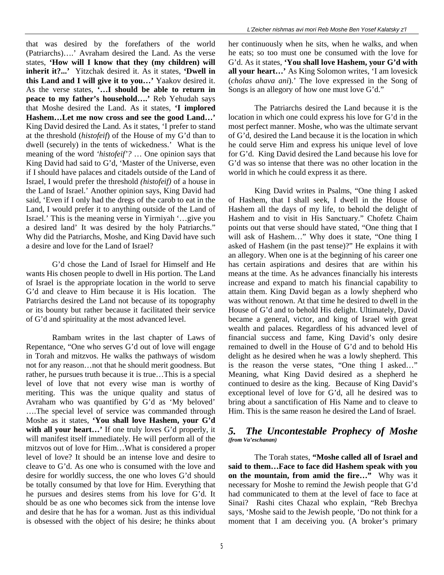that was desired by the forefathers of the world (Patriarchs)….' Avraham desired the Land. As the verse states, **'How will I know that they (my children) will inherit it?...'** Yitzchak desired it. As it states, **'Dwell in this Land and I will give it to you…'** Yaakov desired it. As the verse states, **'…I should be able to return in peace to my father's household….'** Reb Yehudah says that Moshe desired the Land. As it states, **'I implored Hashem…Let me now cross and see the good Land…'**  King David desired the Land. As it states, 'I prefer to stand at the threshold (*histofeif*) of the House of my G'd than to dwell (securely) in the tents of wickedness.' What is the meaning of the word *'histofeif'?* … One opinion says that King David had said to G'd, 'Master of the Universe, even if I should have palaces and citadels outside of the Land of Israel, I would prefer the threshold *(histofeif)* of a house in the Land of Israel.' Another opinion says, King David had said, 'Even if I only had the dregs of the carob to eat in the Land, I would prefer it to anything outside of the Land of Israel.' This is the meaning verse in Yirmiyah '…give you a desired land' It was desired by the holy Patriarchs." Why did the Patriarchs, Moshe, and King David have such a desire and love for the Land of Israel?

G'd chose the Land of Israel for Himself and He wants His chosen people to dwell in His portion. The Land of Israel is the appropriate location in the world to serve G'd and cleave to Him because it is His location. The Patriarchs desired the Land not because of its topography or its bounty but rather because it facilitated their service of G'd and spirituality at the most advanced level.

Rambam writes in the last chapter of Laws of Repentance, "One who serves G'd out of love will engage in Torah and mitzvos. He walks the pathways of wisdom not for any reason…not that he should merit goodness. But rather, he pursues truth because it is true…This is a special level of love that not every wise man is worthy of meriting. This was the unique quality and status of Avraham who was quantified by G'd as 'My beloved' ….The special level of service was commanded through Moshe as it states, **'You shall love Hashem, your G'd with all your heart…'** If one truly loves G'd properly, it will manifest itself immediately. He will perform all of the mitzvos out of love for Him…What is considered a proper level of love? It should be an intense love and desire to cleave to G'd. As one who is consumed with the love and desire for worldly success, the one who loves G'd should be totally consumed by that love for Him. Everything that he pursues and desires stems from his love for G'd. It should be as one who becomes sick from the intense love and desire that he has for a woman. Just as this individual is obsessed with the object of his desire; he thinks about her continuously when he sits, when he walks, and when he eats; so too must one be consumed with the love for G'd. As it states, **'You shall love Hashem, your G'd with all your heart…'** As King Solomon writes, 'I am lovesick (*cholas ahava ani*).' The love expressed in the Song of Songs is an allegory of how one must love G'd."

The Patriarchs desired the Land because it is the location in which one could express his love for G'd in the most perfect manner. Moshe, who was the ultimate servant of G'd, desired the Land because it is the location in which he could serve Him and express his unique level of love for G'd. King David desired the Land because his love for G'd was so intense that there was no other location in the world in which he could express it as there.

King David writes in Psalms, "One thing I asked of Hashem, that I shall seek, I dwell in the House of Hashem all the days of my life, to behold the delight of Hashem and to visit in His Sanctuary." Chofetz Chaim points out that verse should have stated, "One thing that I will ask of Hashem…" Why does it state, "One thing I asked of Hashem (in the past tense)?" He explains it with an allegory. When one is at the beginning of his career one has certain aspirations and desires that are within his means at the time. As he advances financially his interests increase and expand to match his financial capability to attain them. King David began as a lowly shepherd who was without renown. At that time he desired to dwell in the House of G'd and to behold His delight. Ultimately, David became a general, victor, and king of Israel with great wealth and palaces. Regardless of his advanced level of financial success and fame, King David's only desire remained to dwell in the House of G'd and to behold His delight as he desired when he was a lowly shepherd. This is the reason the verse states, "One thing I asked…" Meaning, what King David desired as a shepherd he continued to desire as the king. Because of King David's exceptional level of love for G'd, all he desired was to bring about a sanctification of His Name and to cleave to Him. This is the same reason he desired the Land of Israel.

#### *5. The Uncontestable Prophecy of Moshe (from Va'eschanan)*

The Torah states, **"Moshe called all of Israel and said to them…Face to face did Hashem speak with you on the mountain, from amid the fire…"** Why was it necessary for Moshe to remind the Jewish people that G'd had communicated to them at the level of face to face at Sinai? Rashi cites Chazal who explain, "Reb Brechya says, 'Moshe said to the Jewish people, 'Do not think for a moment that I am deceiving you. (A broker's primary